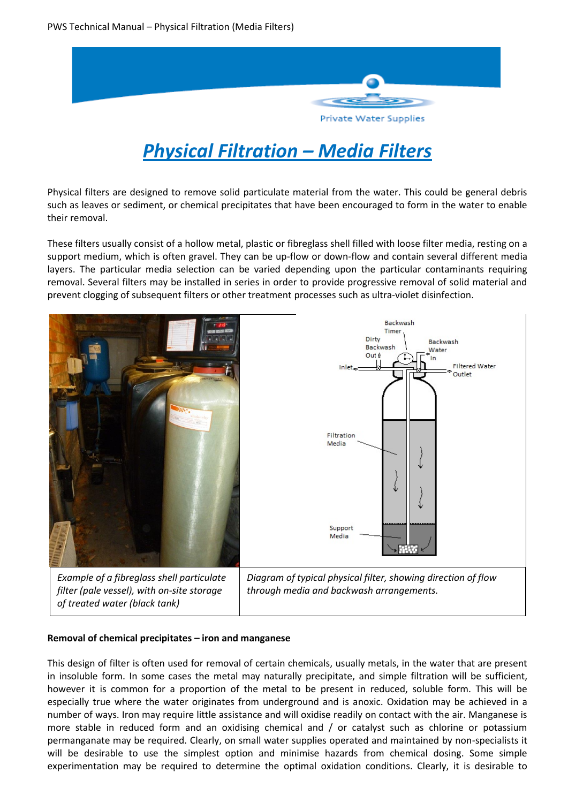

# *Physical Filtration – Media Filters*

Physical filters are designed to remove solid particulate material from the water. This could be general debris such as leaves or sediment, or chemical precipitates that have been encouraged to form in the water to enable their removal.

These filters usually consist of a hollow metal, plastic or fibreglass shell filled with loose filter media, resting on a support medium, which is often gravel. They can be up-flow or down-flow and contain several different media layers. The particular media selection can be varied depending upon the particular contaminants requiring removal. Several filters may be installed in series in order to provide progressive removal of solid material and prevent clogging of subsequent filters or other treatment processes such as ultra-violet disinfection.



#### **Removal of chemical precipitates – iron and manganese**

This design of filter is often used for removal of certain chemicals, usually metals, in the water that are present in insoluble form. In some cases the metal may naturally precipitate, and simple filtration will be sufficient, however it is common for a proportion of the metal to be present in reduced, soluble form. This will be especially true where the water originates from underground and is anoxic. Oxidation may be achieved in a number of ways. Iron may require little assistance and will oxidise readily on contact with the air. Manganese is more stable in reduced form and an oxidising chemical and / or catalyst such as chlorine or potassium permanganate may be required. Clearly, on small water supplies operated and maintained by non-specialists it will be desirable to use the simplest option and minimise hazards from chemical dosing. Some simple experimentation may be required to determine the optimal oxidation conditions. Clearly, it is desirable to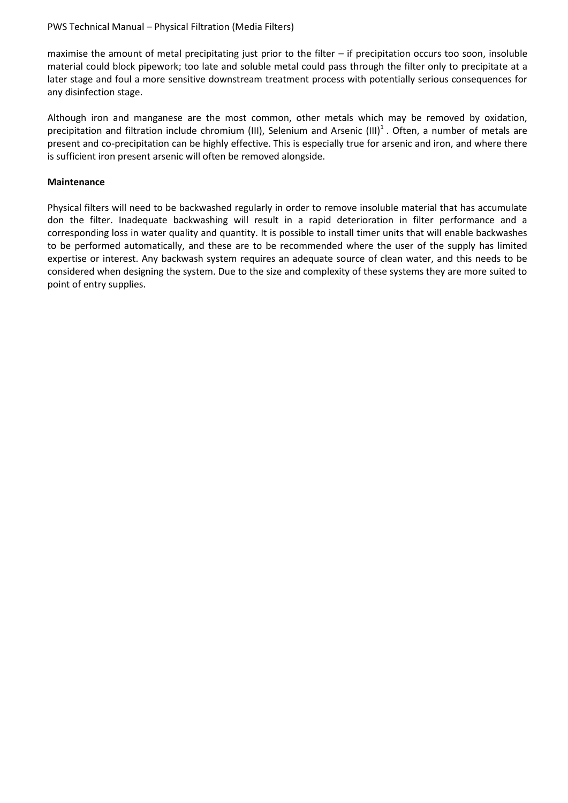#### PWS Technical Manual – Physical Filtration (Media Filters)

maximise the amount of metal precipitating just prior to the filter – if precipitation occurs too soon, insoluble material could block pipework; too late and soluble metal could pass through the filter only to precipitate at a later stage and foul a more sensitive downstream treatment process with potentially serious consequences for any disinfection stage.

Although iron and manganese are the most common, other metals which may be removed by oxidation, precipitation and filtration include chromium (III), Selenium and Arsenic (III)<sup>1</sup>. Often, a number of metals are present and co-precipitation can be highly effective. This is especially true for arsenic and iron, and where there is sufficient iron present arsenic will often be removed alongside.

#### **Maintenance**

Physical filters will need to be backwashed regularly in order to remove insoluble material that has accumulate don the filter. Inadequate backwashing will result in a rapid deterioration in filter performance and a corresponding loss in water quality and quantity. It is possible to install timer units that will enable backwashes to be performed automatically, and these are to be recommended where the user of the supply has limited expertise or interest. Any backwash system requires an adequate source of clean water, and this needs to be considered when designing the system. Due to the size and complexity of these systems they are more suited to point of entry supplies.